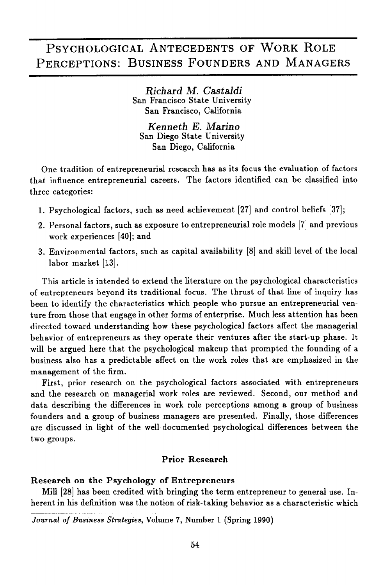# PSYCHOLOGICAL ANTECEDENTS OF WORK ROLE PERCEPTIONS: BUSINESS FOUNDERS AND MANAGERS

*Richard* M. *Castaldi* San Francisco State University San Francisco, California

*Kenneth* E. *Marino* San Diego State University San Diego, California

One tradition of entrepreneurial research has as its focus the evaluation of factors that influence entrepreneurial careers. The factors identified can be classified into three categories:

- 1. Psychological factors, such as need achievement [27] and control beliefs [37] <sup>j</sup>
- 2. Personal factors, such as exposure to entrepreneurial role models [7] and previous work experiences [40]; and
- 3. Environmental factors, such as capital availability [8] and skill level of the local labor market [13].

This article is intended to extend the literature on the psychological characteristics of entrepreneurs beyond its traditional focus. The thrust of that line of inquiry has been to identify the characteristics which people who pursue an entrepreneurial venture from those that engage in other forms of enterprise. Much less attention has been directed toward understanding how these psychological factors affect the managerial behavior of entrepreneurs as they operate their ventures after the start-up phase. It will be argued here that the psychological makeup that prompted the founding of a business also has a predictable affect on the work roles that are emphasized in the management of the firm.

First, prior research on the psychological factors associated with entrepreneurs and the research on managerial work roles are reviewed. Second, our method and data describing the differences in work role perceptions among a group of business founders and a group of business managers are presented. Finally, those differences are discussed in light of the well-documented psychological differences between the two groups.

# Prior Research

# Research on the Psychology of Entrepreneurs

Mill [28] has been credited with bringing the term entrepreneur to general use. Inherent in his definition was the notion of risk-taking behavior as a characteristic which

*Journal of Business Strategies,* Volume 7, Number 1 (Spring 1990)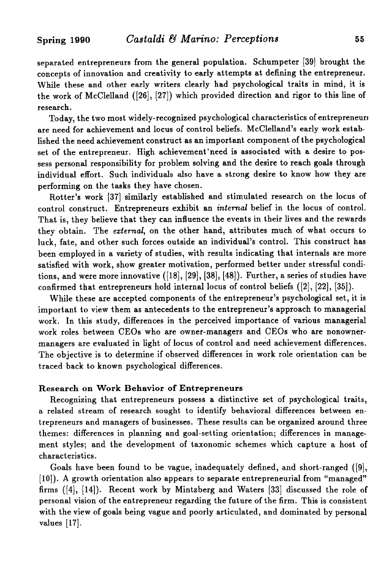separated entrepreneurs from the general population. Schumpeter [39] brought the concepts of innovation and creativity to early attempts at defining the entrepreneur. While these and other early writers clearly had psychological traits in mind, it is the work of McClelland  $([26], [27])$  which provided direction and rigor to this line of research.

Today, the two most widely-recognized psychological characteristics of entrepreneur! are need for achievement and locus of control beliefs. McClelland's early work established the need achievement construct as an important component of the psychological set of the entrepreneur. High achievement 'need is associated with a desire to possess personal responsibility for problem solving and the desire to reach goals through individual effort. Such individuals also have a strong desire to know how they are performing on the tasks they have chosen.

Rotter's work [37] similarly established and stimulated research on the locus of control construct. Entrepreneurs exhibit an *internal* belief in the locus of control. That is, they believe that they can influence the events in their lives and the rewards they obtain. The *external,* on the other hand, attributes much of what occurs to luck, fate, and other such forces outside an individual's control. This construct has been employed in a variety of studies, with results indicating that internals are more satisfied with work, show greater motivation, performed better under stressful conditions, and were more innovative  $([18], [29], [38], [48])$ . Further, a series of studies have confirmed that entrepreneurs hold internal locus of control beliefs ([2], [22], [35]).

While these are accepted components of the entrepreneur's psychological set, it is important to view them as antecedents to the entrepreneur's approach to managerial work. In this study, differences in the perceived importance of various managerial work roles between CEOs who are owner-managers and CEOs who are nonownermanagers are evaluated in light of locus of control and need achievement differences. The objective is to determine if observed differences in work role orientation can be traced back to known psychological differences.

# Research on Work Behavior of Entrepreneurs

Recognizing that entrepreneurs possess a distinctive set of psychological traits, a related stream of research sought to identify behavioral differences between entrepreneurs and managers of businesses. These results can be organized around three themes: differences in planning and goal-setting orientation; differences in management styles; and the development of taxonomic schemes which capture a host of characteristics.

Goals have been found to be vague, inadequately defined, and short-ranged ([9J, [10]). A growth orientation also appears to separate entrepreneurial from "managed" firms  $([4], [14])$ . Recent work by Mintzberg and Waters [33] discussed the role of personal vision of the entrepreneur regarding the future of the firm. This is consistent with the view of goals being vague and poorly articulated, and dominated by personal values [17].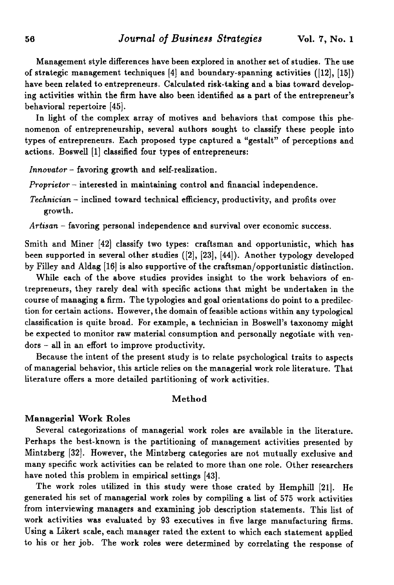Management style differences have been explored in another set of studies. The use of strategic management techniques  $[4]$  and boundary-spanning activities  $([12], [15])$ have been related to entrepreneurs. Calculated risk-taking and a bias toward developing activities within the firm have also been identified as a part of the entrepreneur's behavioral repertoire [45].

In light of the complex array of motives and behaviors that compose this phenomenon of entrepreneurship, several authors sought to classify these people into types of entrepreneurs. Each proposed type captured a "gestalt" of perceptions and actions. Boswell [1] classified four types of entrepreneurs:

*Innovator* - favoring growth and self-realization.

*Proprietor* - interested in maintaining control and financial independence.

- *Technician* inclined toward technical efficiency, productivity, and profits over growth.
- *Artisan* favoring personal independence and survival over economic success.

Smith and Miner [42] classify two types: craftsman and opportunistic, which has been supported in several other studies ([2], [23J, [44]). Another typology developed by Filley and Aldag [16] is also supportive of the craftsman/opportunistic distinction.

While each of the above studies provides insight to the work behaviors of entrepreneurs, they rarely deal with specific actions that might be undertaken in the course of managing a firm. The typologies and goal orientations do point to a predilection for certain actions. However, the domain offeasible actions within any typological classification is quite broad. For example, a technician in Boswell's taxonomy might be expected to monitor raw material consumption and personally negotiate with ven $d$ ors  $-$  all in an effort to improve productivity.

Because the intent of the present study is to relate psychological traits to aspects of managerial behavior, this article relies on the managerial work role literature. That literature offers a more detailed partitioning of work activities.

#### Method

### Managerial Work Roles

Several categorizations of managerial work roles are available in the literature. Perhaps the best-known is the partitioning of management activities presented by Mintzberg [32J. However, the Mintzberg categories are not mutually exclusive and many specific work activities can be related to more than one role. Other researchers have noted this problem in empirical settings [43].

The work roles utilized in this study were those crated by Hemphill [21]. He generated his set of managerial work roles by compiling a list of 575 work activities from interviewing managers and examining job description statements. This list of work activities was evaluated by 93 executives in five large manufacturing firms. Using a Likert scale, each manager rated the extent to which each statement applied to his or her job. The work roles were determined by correlating the response of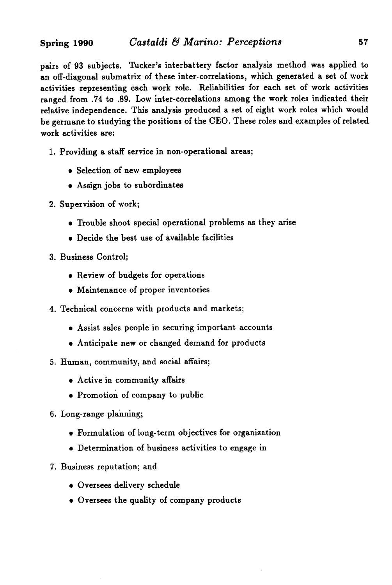pairs of 93 subjects. Tucker's interbattery factor analysis method was applied to an off-diagonal 8ubmatrix of these inter-correlations, which generated a set of work activities representing each work role. Reliabilities for each set of work activities ranged from. 74 to .89. Low inter-correlations among the work roles indicated their relative independence. This analysis produced a set of eight work roles which would be germane to studying the positions of the CEO. These roles and examples of related work activities are:

- 1. Providing a staff service in non-operational areas;
	- Selection of new employees
	- Assign jobs to subordinates
- 2. Supervision of work;
	- Trouble shoot special operational problems as they arise
	- Decide the best use of available facilities
- 3. Business Control;
	- Review of budgets for operations
	- Maintenance of proper inventories
- 4. Technical concerns with products and markets;
	- Assist sales people in securing important accounts
	- Anticipate new or changed demand for products
- 5. Human, community, and social affairs;
	- Active in community affairs
	- Promotion of company to public
- 6. Long-range planning;
	- Formulation of long-term objectives for organization
	- Determination of business activities to engage in
- 7. Business reputation; and
	- Oversees delivery schedule
	- Oversees the quality of company products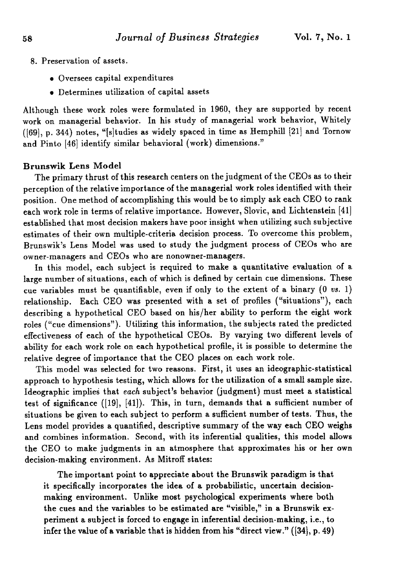- 8. Preservation of assets.
	- Oversees capital expenditures
	- Determines utilization of capital assets

Although these work roles were formulated in 1960, they are supported by recent work on managerial behavior. In his study of managerial work behavior, Whitely ([69], p. 344) notes, "[s]tudies as widely spaced in time as Hemphill [21] and Tornow and Pinto [46] identify similar behavioral (work) dimensions."

#### Brunswik Lens Model

The primary thrust of this research centers on the judgment of the CEOs as to their perception of the relative importance of the managerial work roles identified with their position. One method of accomplishing this would be to simply ask each CEO to rank each work role in terms of relative importance. However, Slovic, and Lichtenstein [41] established that most decision makers have poor insight when utilizing such subjective estimates of their own multiple-criteria decision process. To overcome this problem, Brunswik's Lens Model was used to study the judgment process of CEOs who are owner-managers and CEOs who are nonowner-managers.

In this model, each subject is required to make a quantitative evaluation of a large number of situations, each of which is defined by certain cue dimensions. These cue variables must be quantifiable, even if only to the extent of a binary  $(0 \text{ vs. } 1)$ relationship. Each CEO was presented with a set of profiles ("situations"), each describing a hypothetical CEO based on his/her ability to perform the eight work roles ("cue dimensions"). Utilizing this information, the subjects rated the predicted effectiveness of each of the hypothetical CEOs. By varying two different levels of ability for each work role on each hypothetical profile, it is possible to determine the relative degree of importance that the CEO places on each work role.

This model was selected for two reasons. First, it uses an ideographic-statistical approach to hypothesis testing, which allows for the utilization of a small sample size. Ideographic implies that *each* subject's behavior (judgment) must meet a statistical test of significance ([19], [41]). This, in turn, demands that a sufficient number of situations be given to each subject to perform a sufficient number of tests. Thus, the Lens model provides a quantified, descriptive summary of the way each CEO weighs and combines information. Second, with its inferential qualities, this model allows the CEO to make judgments in an atmosphere that approximates his or her own decision-making environment. As Mitroff states:

The important point to appreciate about the Brunswik paradigm is that it specifically incorporates the idea of a probabilistic, uncertain decisionmaking environment. Unlike most psychological experiments where both the cues and the variables to be estimated are "visible," in a Brunswik experiment a subject is forced to engage in inferential decision-making, i.e., to infer the value of a variable that is hidden from his "direct view." ([34), p. 49)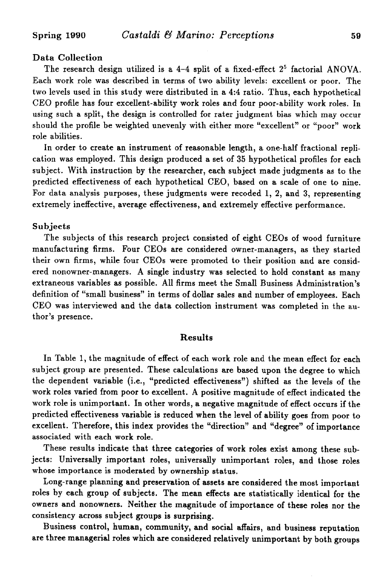# Data Collection

The research design utilized is a 4-4 split of a fixed-effect  $2^5$  factorial ANOVA. Each work role was described in terms of two ability levels: excellent or poor. The two levels used in this study were distributed in a 4:4 ratio. Thus, each hypothetical CEO profile has four excellent-ability work roles and four poor-ability work roles. In using such a split, the design is controlled for rater judgment bias which may occur should the profile be weighted unevenly with either more "excellent" or "poor" work role abilities.

In order to create an instrument of reasonable length, a one-half fractional replication was employed. This design produced a set of 35 hypothetical profiles for each subject. With instruction by the researcher, each subject made judgments as to the predicted effectiveness of each hypothetical CEO, based on a scale of one to nine. For data analysis purposes, these judgments were recoded 1, 2, and 3, representing extremely ineffective, average effectiveness, and extremely effective performance.

#### Subjects

The subjects of this research project consisted of eight CEOs of wood furniture manufacturing firms. Four CEOs are considered owner-managers, as they started their own firms, while four CEOs were promoted to their position and are considered nonowner-managers. A single industry was selected to hold constant as many extraneous variables as possible. All firms meet the Small Business Administration's definition of "small business" in terms of dollar sales and number of employees. Each CEO was interviewed and the data collection instrument was completed in the author's presence.

#### Results

In Table 1, the magnitude of effect of each work role and the mean effect for each subject group are presented. These calculations are based upon the degree to which the dependent variable (i.e., "predicted effectiveness") shifted as the levels of the work roles varied from poor to excellent. A positive magnitude of effect indicated the work role is unimportant. In other words, a negative magnitude of effect occurs if the predicted effectiveness variable is reduced when the level of ability goes from poor to excellent. Therefore, this index provides the "direction" and "degree" of importance associated with each work role.

These results indicate that three categories of work roles exist among these subjects: Universally important roles, universally unimportant roles, and those roles whose importance is moderated by ownership status.

Long-range planning and preservation of assets are considered the most important roles by each group of subjects. The mean effects are statistically identical for the owners and nonowners. Neither the magnitude of importance of these roles nor the consistency across subject groups is surprising.

Business control, human, community, and social affairs, and business reputation are three managerial roles which are considered relatively unimportant by both groups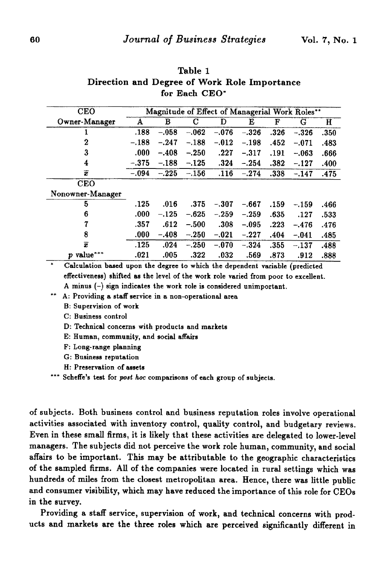| IOF L'ACH ULU             |                                                |         |         |         |         |      |         |      |
|---------------------------|------------------------------------------------|---------|---------|---------|---------|------|---------|------|
| <b>CEO</b>                | Magnitude of Effect of Managerial Work Roles** |         |         |         |         |      |         |      |
| Owner-Manager             | A                                              | в       | С       | Đ       | Е       | F    | G       | H    |
|                           | .188                                           | $-.058$ | $-.062$ | $-.076$ | $-.326$ | .326 | $-.326$ | .350 |
| 2                         | $-.188$                                        | $-.247$ | $-.188$ | $-.012$ | $-.198$ | .452 | $-.071$ | .483 |
| 3                         | .000.                                          | $-.408$ | $-.250$ | .227    | $-.317$ | .191 | $-.063$ | .666 |
| 4                         | $-.375$                                        | $-.188$ | $-.125$ | .324    | $-.254$ | .382 | $-.127$ | .400 |
| $\overline{x}$            | $-.094$                                        | $-.225$ | $-.156$ | .116    | $-.274$ | .338 | $-.147$ | .475 |
| <b>CEO</b>                |                                                |         |         |         |         |      |         |      |
| Nonowner-Manager          |                                                |         |         |         |         |      |         |      |
| 5                         | .125                                           | .016    | .375    | -.307   | $-.667$ | .159 | $-.159$ | .466 |
| 6                         | .000                                           | $-.125$ | $-.625$ | $-.259$ | $-.259$ | .635 | .127    | .533 |
|                           | .357                                           | .612    | $-.500$ | .308.   | $-.095$ | .223 | $-.476$ | .476 |
| 8                         | .000                                           | $-.408$ | $-.250$ | $-.021$ | $-.227$ | .404 | $-.041$ | .485 |
| $\overline{x}$            | .125                                           | .024    | - 250   | $-.070$ | $-.324$ | .355 | $-.137$ | .488 |
| p value***                | .021                                           | .005    | .322    | .032    | .569    | .873 | .912    | .888 |
| $\mathbf{d}$<br>ъ.<br>- . | $\lambda$                                      |         | .       |         |         |      |         |      |

# Table 1 Direction and Degree of Work Role Importance  $F_0 = 1$   $C_0$

Calculation based upon the degree to which the dependent variable (predicted effectiveness) shifted as the level of the work role varied from poor to excellent. A minus (-) sign indicates the work role is considered unimportant.

\*" A: Providing a staff service in a non-operational area

B: Supervision of work

c: Business control

D: Technical concerns with products and markets

E: Human, community, and social affairs

F: Long-range planning

G: Business reputation

H: Preservation of assets

\*\*\* Scheffe's test for *post hoc* comparisons of each group of subjects.

of subjects. Both business control and business reputation roles involve operational activities associated with inventory control, quality control, and budgetary reviews. Even in these small firms, it is likely that these activities are delegated to lower-level managers. The subjects did not perceive the work role human, community, and social affairs to be important. This may be attributable to the geographic characteristics of the sampled firms. All of the companies were located in rural settings which was hundreds of miles from the closest metropolitan area. Hence, there was little public and consumer visibility, which may have reduced the importance of this role for CEOs in the survey.

Providing a staff service, supervision of work, and technical concerns with products and markets are the three roles which are perceived significantly different in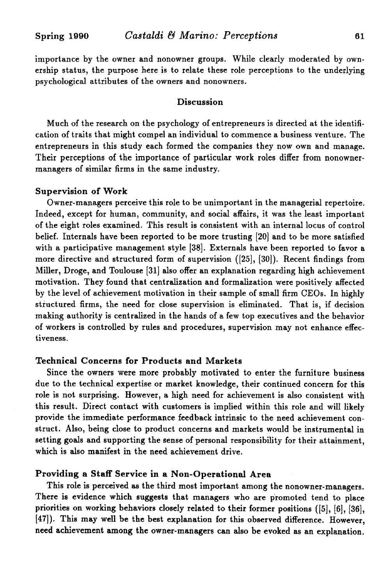importance by the owner and nonowner groups. While dearly moderated by ownership status, the purpose here is to relate these role perceptions to the underlying psychological attributes of the owners and nonowners.

# Discussion

Much of the research on the psychology of entrepreneurs is directed at the identification of traits that might compel an individual to commence a business venture. The entrepreneurs in this study each formed the companies they now own and manage. Their perceptions of the importance of particular work roles differ from nonownermanagers of similar firms in the same industry.

#### Supervision of Work

Owner-managers perceive this role to be unimportant in the managerial repertoire. Indeed, except for human, community, and social affairs, it was the least important of the eight roles examined. This result is consistent with an internal locus of control belief. Internals have been reported to be more trusting [20] and to be more satisfied with a participative management style [38]. Externals have been reported to favor a more directive and structured form of supervision ([25], [30]). Recent findings from Miller, Droge, and Toulouse [31] also offer an explanation regarding high achievement motivation. They found that centralization and formalization were positively affected by the level of achievement motivation in their sample of small firm CEOs. In highly structured firms, the need for close supervision is eliminated. That is, if decision making authority is centralized in the hands of a few top executives and the behavior of workers is controlled by rules and procedures, supervision may not enhance effectiveness.

### Technical Concerns for Products and Markets

Since the owners were more probably motivated to enter the furniture business due to the technical expertise or market knowledge, their continued concern for this role is not surprising. However, a high need for achievement is also consistent with this result. Direct contact with customers is implied within this role and will likely provide the immediate performance feedback intrinsic to the need achievement construct. Also, being close to product concerns and markets would be instrumental in setting goals and supporting the sense of personal responsibility for their attainment, which is also manifest in the need achievement drive.

# Providing a Staff Service in a Non-Operational Area

This role is perceived as the third most important among the nonowner-managers. There is evidence which suggests that managers who are promoted tend to place priorities on working behaviors closely related to their former positions ([5], [6], [36], [47]). This may well be the best explanation for this observed difference. However, need achievement among the owner-managers can also be evoked as an explanation.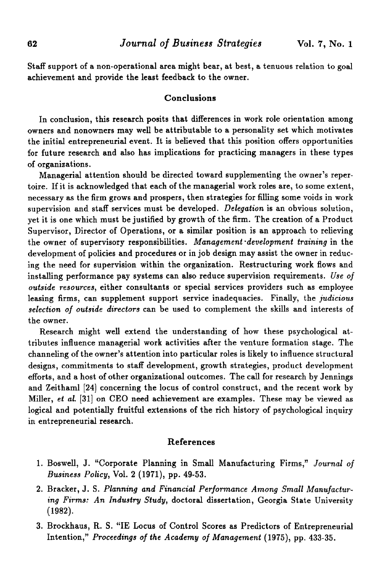Staff support of a non-operational area might bear, at best, a tenuous relation to goal achievement and provide the least feedback to the owner.

#### Conclusions

In conclusion, this research posits that differences in work role orientation among owners and nonowners may well be attributable to a personality set which motivates the initial entrepreneurial event. It is believed that this position offers opportunities for future research and also has implications for practicing managers in these types of organizations.

Managerial attention should be directed toward supplementing the owner's repertoire. Ifit is acknowledged that each of the managerial work roles are, to some extent, necessary as the firm grows and prospers, then strategies for filling some voids in work supervision and staff services must be developed. *Delegation* is an obvious solution, yet it is one which must be justified by growth of the firm. The creation of a Product Supervisor, Director of Operations, or a similar position is an approach to relieving the owner of supervisory responsibilities. *Management 'development training* in the development of policies and procedures or in job design may assist the owner in reducing the need for supervision within the organization. Restructuring work flows and installing performance pay systems can also reduce supervision requirements. *Use of outside resources,* either consultants or special services providers such as employee leasing firms, can supplement support service inadequacies. Finally, the *judicious selection of outside directors* can be used to complement the skills and interests of the owner.

Research might well extend the understanding of how these psychological attributes influence managerial work activities after the venture formation stage. The channeling of the owner's attention into particular roles is likely to influence structural designs, commitments to staff development, growth strategies, product development efforts, and a host of other organizational outcomes. The call for research by Jennings and Zeithaml [24] concerning the locus of control construct, and the recent work by Miller, *et al.* [31] on CEO need achievement are examples. These may be viewed as logical and potentially fruitful extensions of the rich history of psychological inquiry in entrepreneurial research.

#### References

- 1. Boswell, J. "Corporate Planning in Small Manufacturing Firms," *Journal of Business Policy,* Vol. 2 (1971), pp. 49-53.
- 2. Bracker, J. S. *Planning and Financial Performance Among Small Manufacturing Firms: An Industry Study,* doctoral dissertation, Georgia State University (1982).
- 3. Brockhaus, R. S. "IE Locus of Control Scores as Predictors of Entrepreneurial Intention," *Proceedings of the Academy of Management* (1975), pp. 433-35.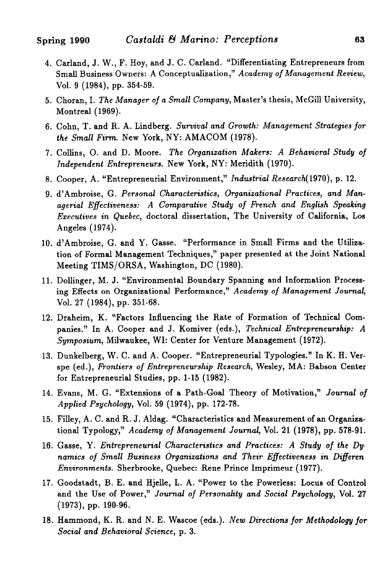- 4. Carland, J. W., F. Hoy, and J. C. Carland. "Differentiating Entrepreneurs from Small Business Owners: A Conceptualization," Academy of Management Review, Vol. 9 (1984), pp. 354-59.
- 5. Choran,1. *The Manager of a Small Company,* Master's thesis, McGill University, Montreal (1969).
- 6. Cohn, T. and R. A. Lindberg. *Survival and Growth: Management Strategies for the Small Firm.* New York, NY: AMACOM (1978).
- 7. Collins, O. and D. Moore. *The Organization Makers: A Behavioral Study of Independent Entrepreneurs.* New York, NY: Meridith (1970).
- 8. Cooper, A. "Entrepreneurial Environment," *Industrial Research(1970),* p. 12.
- 9. d'Ambroise, G. *Personal Characteristics, Organizational Practices, and Managerial Effectiveness: A Comparative Study of French and English Speaking Executives in Quebec,* doctoral dissertation, The University of California, Los Angeles (1974).
- 10. d'Ambroise, G. and Y. Gasse. "Performance in Small Firms and the Utilization of Formal Management Techniques," paper presented at the Joint National Meeting TIMS/ORSA, Washington, DC (1980).
- 11. Dollinger, M. J. "Environmental Boundary Spanning and Information Processing Effects on Organizational Performance," *Academy of Management Journal,* Vol. 27 (1984), pp. 351-68.
- 12. Draheim, K. "Factors Influencing the Rate of Formation of Technical Companies." In A. Cooper and J. Komiver (eds.), *Technical Entrepreneurship: A Symposium,* Milwaukee, WI: Center for Venture Management (1972).
- 13. Dunkelberg, W. C. and A. Cooper. "Entrepreneurial Typologies." In K. H. Verspe (ed.), *Frontiers of Entrepreneurship Research,* Wesley, MA: Babson Center for Entrepreneurial Studies, pp. 1-15 (1982).
- 14. Evans, M. G. "Extensions of a Path-Goal Theory of Motivation," *Journal of Applied Psychology,* VoL &9 (1974), pp. 172-78.
- 15. Filley, A. C. and R. J. Aldag. "Characteristics and Measurement of an Organizational Typology," *Academy of Management Journal,* Vol. 21 (1978), pp. 578-91.
- 16. Gasse, Y. *Entrepreneurial Characteristics and Practices: A Study of the Dy, namics of Small Business Organizations and Their Effectiveness* in *Differen Environments.* Sherbrooke, Quebec: Rene Prince Imprimeur (1977).
- 17. Goodstadt, B. E. and Hjelle, L. A. "Power to the Powerless: Locus of Control and the Use of Power," *Journal of Personality and Social Psychology,* Vol. 27 (1973), pp. 190-96.
- 18. Hammond, K. R. and N. E. Wascoe (eds.). *New Directions for Methodology for Social and Behavioral Science,* p. 3.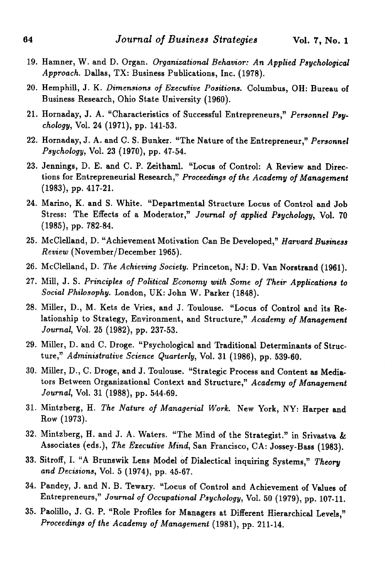- 19. Hamner, W. and D. Organ. *Organizational Behavior: An Applied Psychological Approach.* Dallas, TX: Business Publications, Inc. (1978).
- 20. Hemphill, J. K. *Dimensions of Executive Positions.* Columbus, OH: Bureau of Business Research, Ohio State University (1960).
- 21. Hornaday, J. A. "Characteristics of Successful Entrepreneurs," *Personnel Psychology,* Vol. 24 (1971), pp. 141-53.
- 22. Hornaday, J. A. and C. S. Bunker. "The Nature ofthe Entrepreneur," *Personnel Psychology,* Vol. 23 (1970), pp. 47-54.
- 23. Jennings, D. E. and C. P. Zeithaml. "Locus of Control: A Review and Directions for Entrepreneurial Research," Proceedings of the Academy of Management (1983), pp. 417-21.
- 24. Marino, K. and S. White. "Departmental Structure Locus of Control and Job Stress: The Effects of a Moderator," *Journal of applied Psychology,* Vol. 70 (1985), pp. 782-84.
- 25. McClelland, D. "Achievement Motivation Can Be Developed," *Harvard Business Review* (November/December 1965).
- 26. McClelland, D. *The Achieving Society.* Princeton, NJ: D. Van Norstrand (1961).
- 27. Mill, J. S. *Principles of Political Economy with Some of Their Applications to Social Philosophy.* London, UK: John W. Parker (1848).
- 28. Miller, D., M. Kets de Vries, and J. Toulouse. "Locus of Control and its Relationship to Strategy, Environment, and Structure," *Academy of Management Journal,* Vol. 25 (1982), pp. 237-53.
- 29. Miller, D. and C. Droge. "Psychological and Traditional Determinants of Structure," *Administrative Science Quarterly,* Vol. 31 (1986), pp. 539-60.
- 30. Miller, D., C. Droge, and J. Toulouse. "Strategic Process and Content as Mediators Between Organizational Context and Structure," *Academy of Management Journal,* Vol. 31 (1988), pp. 544-69.
- 31. Mintzberg, H. *The Nature of Managerial Work.* New York, NY: Harper and Row (1973).
- 32. Mintzberg, H. and J. A. Waters. "The Mind of the Strategist." in Srivastva & Associates (eds.), *The Executive Mind,* San Francisco, CA: Jossey-Bass (1983).
- 33. Sitroff, I. "A Brunswik Lens Model of Dialectical inquiring Systems," *Theory and Decisions,* Vol. 5 (1974), pp. 45-67.
- 34. Pandey, J. and N. B. Tewary. "Locus of Control and Achievement of Values of Entrepreneurs," *Journal of Occupational Psychology,* Vol. 50 (1979), pp. 107-11.
- 35. Paolillo, J. G. P. "Role Profiles for Managers at Different Hierarchical Levels," *Proceedings of the Academy of Management* (1981), pp. 211-14.